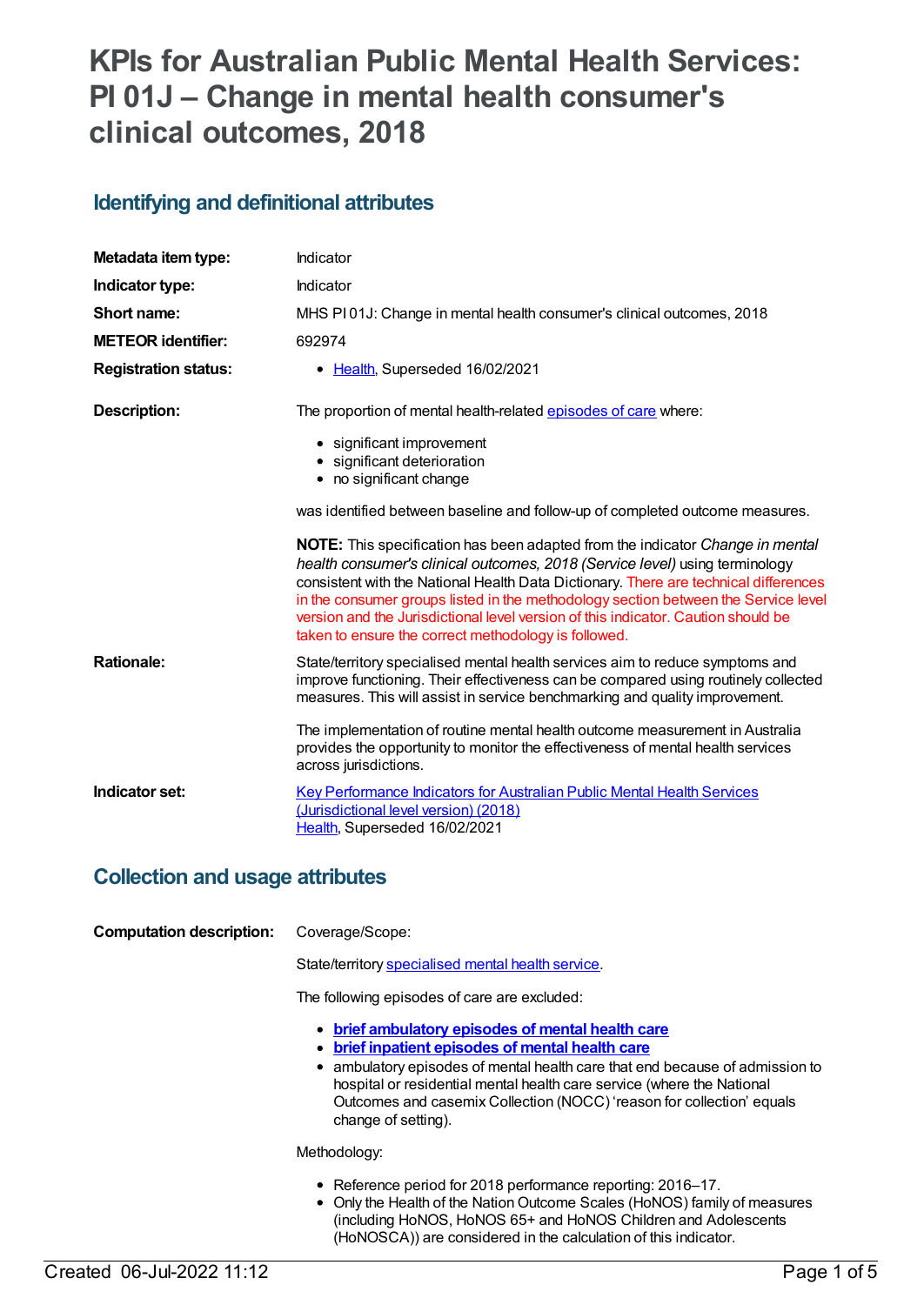# **KPIs for Australian Public Mental Health Services: PI 01J – Change in mental health consumer's clinical outcomes, 2018**

## **Identifying and definitional attributes**

| Metadata item type:         | Indicator                                                                                                                                                                                                                                                                                                                                                                                                                                                                                             |
|-----------------------------|-------------------------------------------------------------------------------------------------------------------------------------------------------------------------------------------------------------------------------------------------------------------------------------------------------------------------------------------------------------------------------------------------------------------------------------------------------------------------------------------------------|
| Indicator type:             | Indicator                                                                                                                                                                                                                                                                                                                                                                                                                                                                                             |
| Short name:                 | MHS PI01J: Change in mental health consumer's clinical outcomes, 2018                                                                                                                                                                                                                                                                                                                                                                                                                                 |
| <b>METEOR identifier:</b>   | 692974                                                                                                                                                                                                                                                                                                                                                                                                                                                                                                |
| <b>Registration status:</b> | • Health, Superseded 16/02/2021                                                                                                                                                                                                                                                                                                                                                                                                                                                                       |
| <b>Description:</b>         | The proportion of mental health-related episodes of care where:                                                                                                                                                                                                                                                                                                                                                                                                                                       |
|                             | • significant improvement<br>• significant deterioration<br>• no significant change                                                                                                                                                                                                                                                                                                                                                                                                                   |
|                             | was identified between baseline and follow-up of completed outcome measures.                                                                                                                                                                                                                                                                                                                                                                                                                          |
|                             | <b>NOTE:</b> This specification has been adapted from the indicator <i>Change in mental</i><br>health consumer's clinical outcomes, 2018 (Service level) using terminology<br>consistent with the National Health Data Dictionary. There are technical differences<br>in the consumer groups listed in the methodology section between the Service level<br>version and the Jurisdictional level version of this indicator. Caution should be<br>taken to ensure the correct methodology is followed. |
| <b>Rationale:</b>           | State/territory specialised mental health services aim to reduce symptoms and<br>improve functioning. Their effectiveness can be compared using routinely collected<br>measures. This will assist in service benchmarking and quality improvement.                                                                                                                                                                                                                                                    |
|                             | The implementation of routine mental health outcome measurement in Australia<br>provides the opportunity to monitor the effectiveness of mental health services<br>across jurisdictions.                                                                                                                                                                                                                                                                                                              |
| Indicator set:              | <b>Key Performance Indicators for Australian Public Mental Health Services</b><br>(Jurisdictional level version) (2018)<br>Health, Superseded 16/02/2021                                                                                                                                                                                                                                                                                                                                              |

### **Collection and usage attributes**

| <b>Computation description:</b> | Coverage/Scope:                                                                                                                                                                                                                                                                                                                                                         |
|---------------------------------|-------------------------------------------------------------------------------------------------------------------------------------------------------------------------------------------------------------------------------------------------------------------------------------------------------------------------------------------------------------------------|
|                                 | State/territory specialised mental health service.                                                                                                                                                                                                                                                                                                                      |
|                                 | The following episodes of care are excluded:                                                                                                                                                                                                                                                                                                                            |
|                                 | • brief ambulatory episodes of mental health care<br>brief inpatient episodes of mental health care<br>$\bullet$<br>ambulatory episodes of mental health care that end because of admission to<br>hospital or residential mental health care service (where the National<br>Outcomes and casemix Collection (NOCC) reason for collection' equals<br>change of setting). |
|                                 | Methodology:                                                                                                                                                                                                                                                                                                                                                            |
|                                 | • Reference period for 2018 performance reporting: 2016–17.<br>• Only the Health of the Nation Outcome Scales (HoNOS) family of measures<br>(including HoNOS, HoNOS 65+ and HoNOS Children and Adolescents<br>(HoNOSCA)) are considered in the calculation of this indicator.                                                                                           |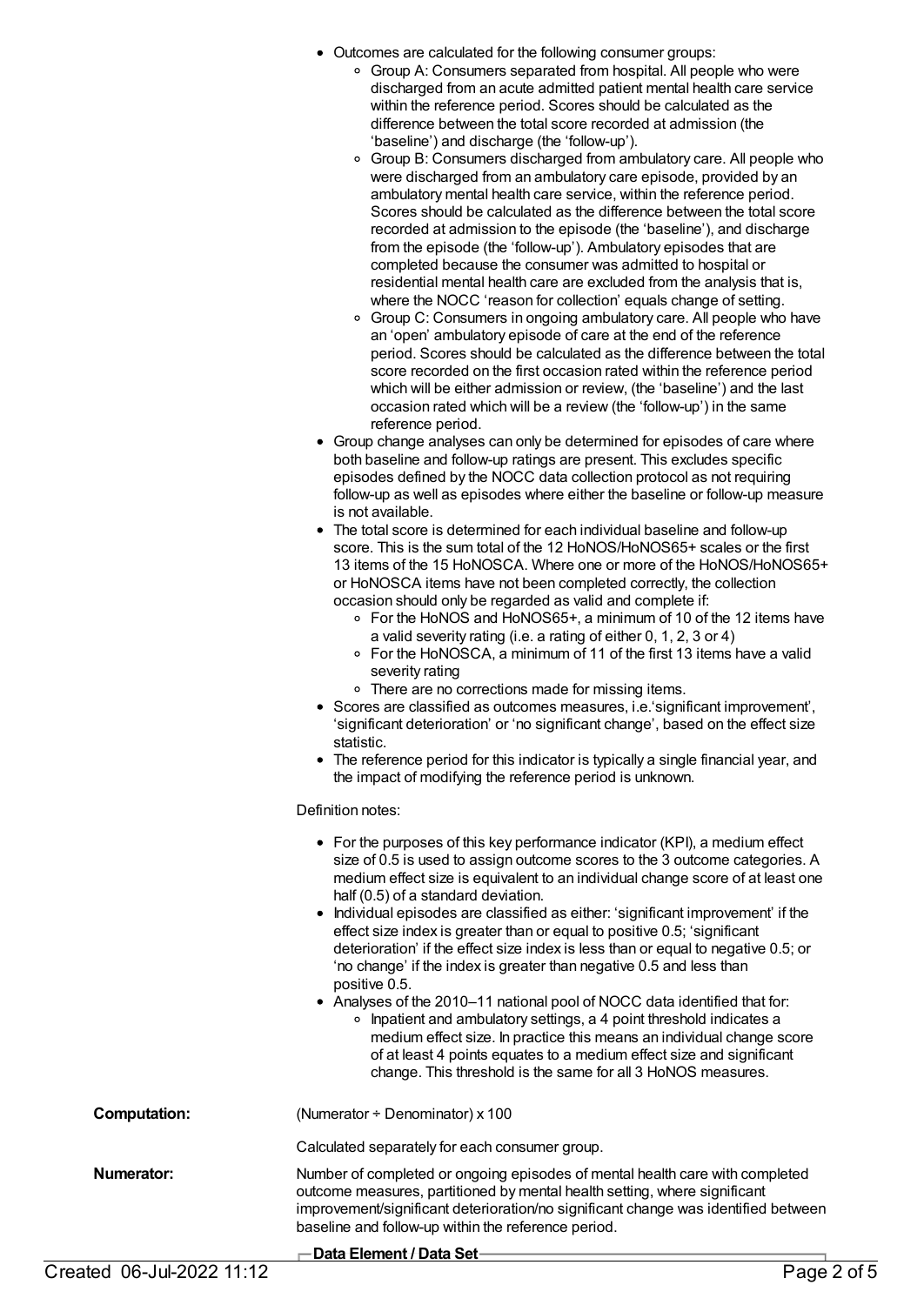- Outcomes are calculated for the following consumer groups:
	- Group A: Consumers separated from hospital. All people who were discharged from an acute admitted patient mental health care service within the reference period. Scores should be calculated as the difference between the total score recorded at admission (the 'baseline') and discharge (the 'follow-up').
	- Group B: Consumers discharged from ambulatory care. All people who were discharged from an ambulatory care episode, provided by an ambulatory mental health care service, within the reference period. Scores should be calculated as the difference between the total score recorded at admission to the episode (the 'baseline'), and discharge from the episode (the 'follow-up'). Ambulatory episodes that are completed because the consumer was admitted to hospital or residential mental health care are excluded from the analysis that is, where the NOCC 'reason for collection' equals change of setting.
	- Group C: Consumers in ongoing ambulatory care. All people who have an 'open' ambulatory episode of care at the end of the reference period. Scores should be calculated as the difference between the total score recorded on the first occasion rated within the reference period which will be either admission or review, (the 'baseline') and the last occasion rated which will be a review (the 'follow-up') in the same reference period.
- Group change analyses can only be determined for episodes of care where both baseline and follow-up ratings are present. This excludes specific episodes defined by the NOCC data collection protocol as not requiring follow-up as well as episodes where either the baseline or follow-up measure is not available.
- The total score is determined for each individual baseline and follow-up score. This is the sum total of the 12 HoNOS/HoNOS65+ scales or the first 13 items of the 15 HoNOSCA. Where one or more of the HoNOS/HoNOS65+ or HoNOSCA items have not been completed correctly, the collection occasion should only be regarded as valid and complete if:
	- For the HoNOS and HoNOS65+, a minimum of 10 of the 12 items have a valid severity rating (i.e. a rating of either 0, 1, 2, 3 or 4)
	- For the HoNOSCA, a minimum of 11 of the first 13 items have a valid severity rating
	- There are no corrections made for missing items.
- Scores are classified as outcomes measures, i.e.'significant improvement', 'significant deterioration' or 'no significant change', based on the effect size statistic.
- The reference period for this indicator is typically a single financial year, and the impact of modifying the reference period is unknown.

#### Definition notes:

|                     | • For the purposes of this key performance indicator (KPI), a medium effect<br>size of 0.5 is used to assign outcome scores to the 3 outcome categories. A<br>medium effect size is equivalent to an individual change score of at least one<br>half (0.5) of a standard deviation.<br>• Individual episodes are classified as either: 'significant improvement' if the<br>effect size index is greater than or equal to positive 0.5; 'significant<br>deterioration' if the effect size index is less than or equal to negative 0.5; or<br>'no change' if the index is greater than negative 0.5 and less than<br>positive 0.5.<br>• Analyses of the 2010-11 national pool of NOCC data identified that for:<br>• Inpatient and ambulatory settings, a 4 point threshold indicates a<br>medium effect size. In practice this means an individual change score<br>of at least 4 points equates to a medium effect size and significant<br>change. This threshold is the same for all 3 HoNOS measures. |
|---------------------|--------------------------------------------------------------------------------------------------------------------------------------------------------------------------------------------------------------------------------------------------------------------------------------------------------------------------------------------------------------------------------------------------------------------------------------------------------------------------------------------------------------------------------------------------------------------------------------------------------------------------------------------------------------------------------------------------------------------------------------------------------------------------------------------------------------------------------------------------------------------------------------------------------------------------------------------------------------------------------------------------------|
| <b>Computation:</b> | (Numerator $\div$ Denominator) x 100                                                                                                                                                                                                                                                                                                                                                                                                                                                                                                                                                                                                                                                                                                                                                                                                                                                                                                                                                                   |
|                     | Calculated separately for each consumer group.                                                                                                                                                                                                                                                                                                                                                                                                                                                                                                                                                                                                                                                                                                                                                                                                                                                                                                                                                         |
| Numerator:          | Number of completed or ongoing episodes of mental health care with completed<br>outcome measures, partitioned by mental health setting, where significant<br>improvement/significant deterioration/no significant change was identified between<br>baseline and follow-up within the reference period.                                                                                                                                                                                                                                                                                                                                                                                                                                                                                                                                                                                                                                                                                                 |
|                     | — Data Flement / Data Set—                                                                                                                                                                                                                                                                                                                                                                                                                                                                                                                                                                                                                                                                                                                                                                                                                                                                                                                                                                             |

**Data Element / Data Set**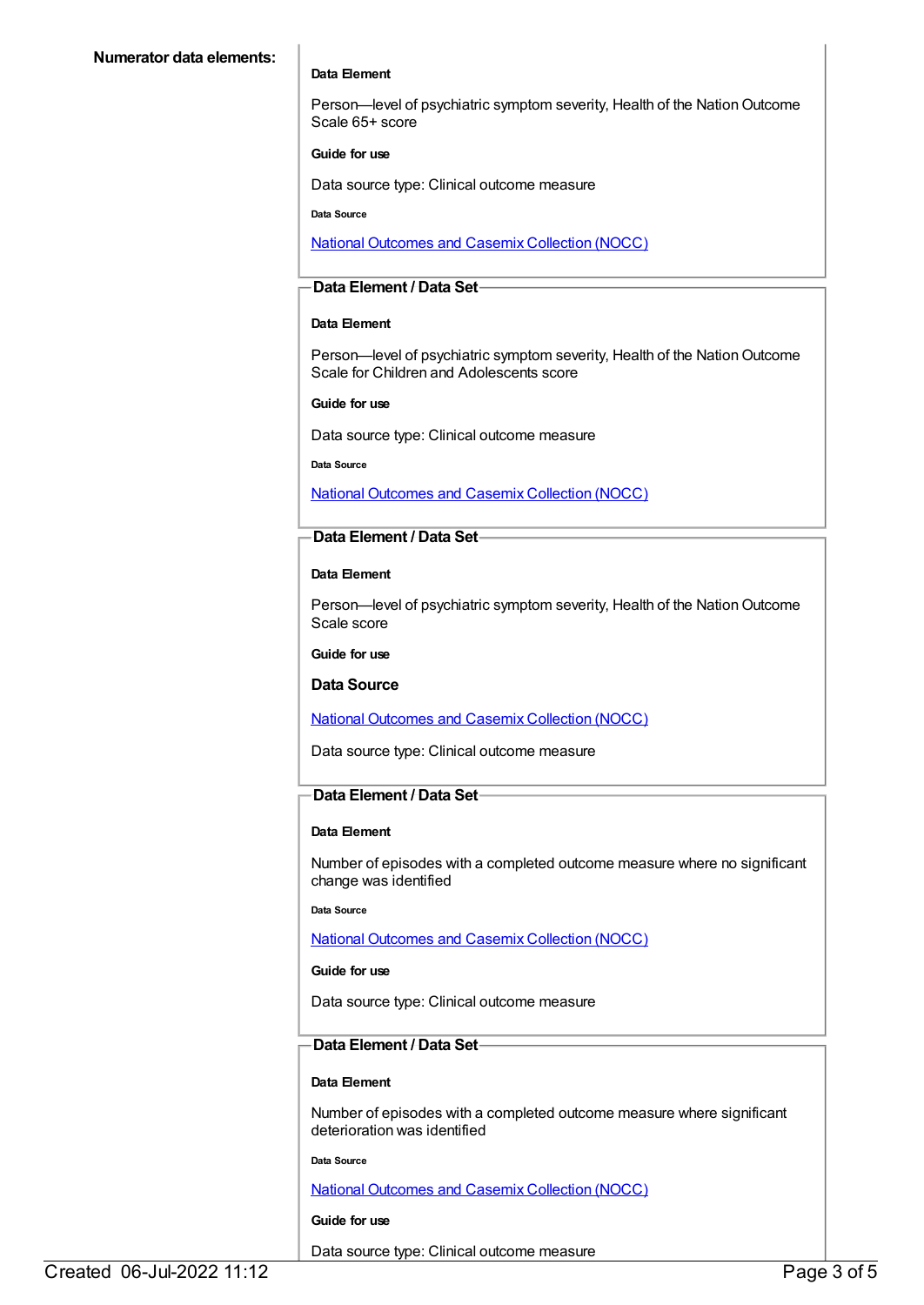#### **Data Element**

Person-level of psychiatric symptom severity, Health of the Nation Outcome Scale 65+ score

#### **Guide for use**

Data source type: Clinical outcome measure

**Data Source**

National [Outcomes](file:///content/636931) and Casemix Collection (NOCC)

#### **Data Element / Data Set**

#### **Data Element**

Person-level of psychiatric symptom severity, Health of the Nation Outcome Scale for Children and Adolescents score

#### **Guide for use**

Data source type: Clinical outcome measure

**Data Source**

National [Outcomes](file:///content/636931) and Casemix Collection (NOCC)

#### **Data Element / Data Set**

#### **Data Element**

Person—level of psychiatric symptom severity, Health of the Nation Outcome Scale score

**Guide for use**

**Data Source**

#### National [Outcomes](file:///content/636931) and Casemix Collection (NOCC)

Data source type: Clinical outcome measure

#### **Data Element / Data Set**

#### **Data Element**

Number of episodes with a completed outcome measure where no significant change was identified

**Data Source**

National [Outcomes](file:///content/636931) and Casemix Collection (NOCC)

#### **Guide for use**

Data source type: Clinical outcome measure

#### **Data Element / Data Set**

#### **Data Element**

Number of episodes with a completed outcome measure where significant deterioration was identified

**Data Source**

National [Outcomes](file:///content/636931) and Casemix Collection (NOCC)

#### **Guide for use**

Data source type: Clinical outcome measure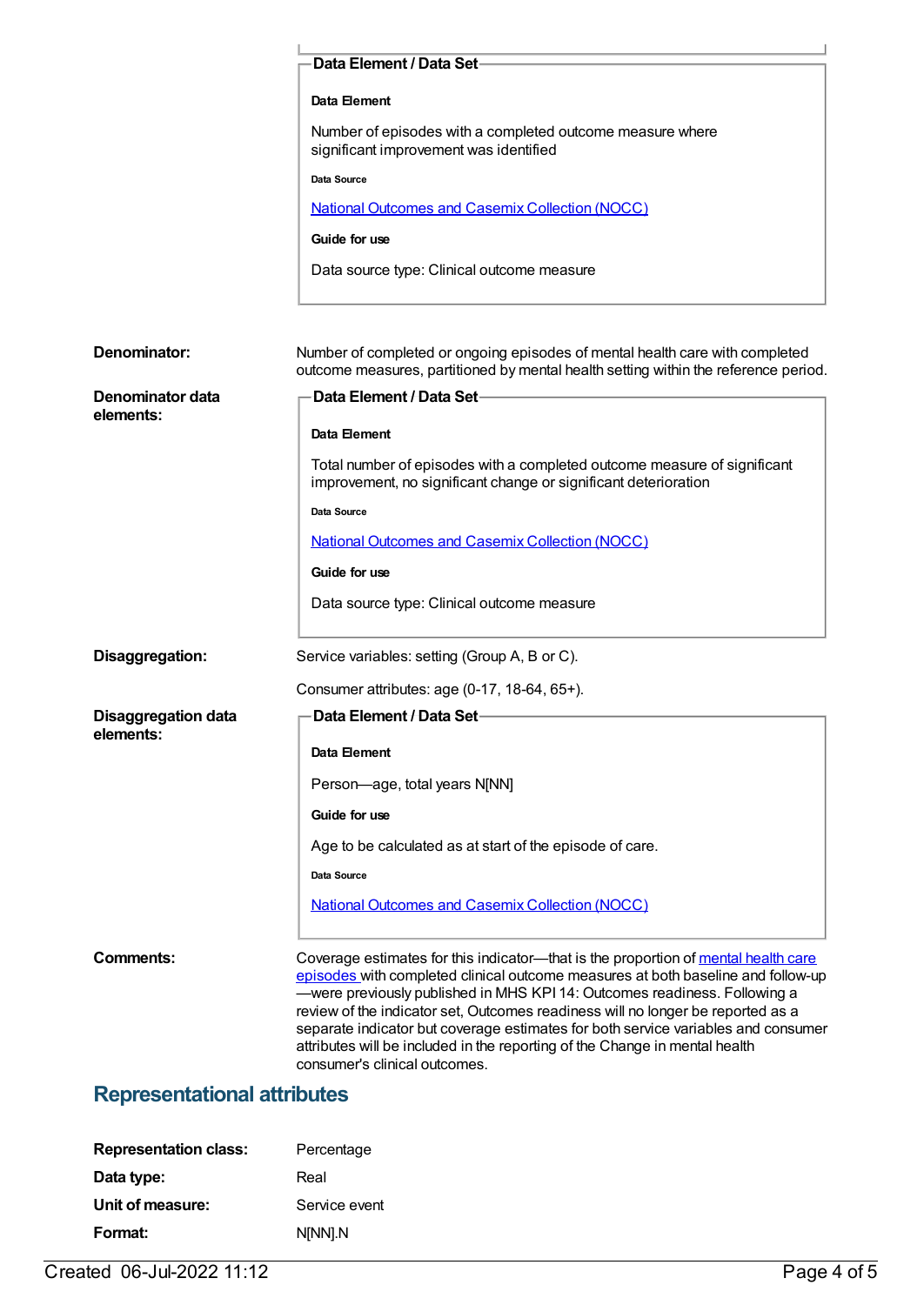|                                    | Data Element / Data Set-                                                                                                                                                                                                                                                                                                                                                                                                                                                                                                                    |
|------------------------------------|---------------------------------------------------------------------------------------------------------------------------------------------------------------------------------------------------------------------------------------------------------------------------------------------------------------------------------------------------------------------------------------------------------------------------------------------------------------------------------------------------------------------------------------------|
|                                    | Data Element                                                                                                                                                                                                                                                                                                                                                                                                                                                                                                                                |
|                                    | Number of episodes with a completed outcome measure where                                                                                                                                                                                                                                                                                                                                                                                                                                                                                   |
|                                    | significant improvement was identified                                                                                                                                                                                                                                                                                                                                                                                                                                                                                                      |
|                                    | Data Source                                                                                                                                                                                                                                                                                                                                                                                                                                                                                                                                 |
|                                    | <b>National Outcomes and Casemix Collection (NOCC)</b>                                                                                                                                                                                                                                                                                                                                                                                                                                                                                      |
|                                    | Guide for use                                                                                                                                                                                                                                                                                                                                                                                                                                                                                                                               |
|                                    | Data source type: Clinical outcome measure                                                                                                                                                                                                                                                                                                                                                                                                                                                                                                  |
| Denominator:                       | Number of completed or ongoing episodes of mental health care with completed                                                                                                                                                                                                                                                                                                                                                                                                                                                                |
|                                    | outcome measures, partitioned by mental health setting within the reference period.                                                                                                                                                                                                                                                                                                                                                                                                                                                         |
| Denominator data<br>elements:      | Data Element / Data Set-                                                                                                                                                                                                                                                                                                                                                                                                                                                                                                                    |
|                                    | Data Element                                                                                                                                                                                                                                                                                                                                                                                                                                                                                                                                |
|                                    | Total number of episodes with a completed outcome measure of significant<br>improvement, no significant change or significant deterioration                                                                                                                                                                                                                                                                                                                                                                                                 |
|                                    | Data Source                                                                                                                                                                                                                                                                                                                                                                                                                                                                                                                                 |
|                                    | <b>National Outcomes and Casemix Collection (NOCC)</b>                                                                                                                                                                                                                                                                                                                                                                                                                                                                                      |
|                                    | Guide for use                                                                                                                                                                                                                                                                                                                                                                                                                                                                                                                               |
|                                    | Data source type: Clinical outcome measure                                                                                                                                                                                                                                                                                                                                                                                                                                                                                                  |
| Disaggregation:                    | Service variables: setting (Group A, B or C).                                                                                                                                                                                                                                                                                                                                                                                                                                                                                               |
|                                    | Consumer attributes: age (0-17, 18-64, 65+).                                                                                                                                                                                                                                                                                                                                                                                                                                                                                                |
| <b>Disaggregation data</b>         | Data Element / Data Set-                                                                                                                                                                                                                                                                                                                                                                                                                                                                                                                    |
| elements:                          | Data Element                                                                                                                                                                                                                                                                                                                                                                                                                                                                                                                                |
|                                    | Person-age, total years N[NN]                                                                                                                                                                                                                                                                                                                                                                                                                                                                                                               |
|                                    | Guide for use                                                                                                                                                                                                                                                                                                                                                                                                                                                                                                                               |
|                                    | Age to be calculated as at start of the episode of care.                                                                                                                                                                                                                                                                                                                                                                                                                                                                                    |
|                                    | Data Source                                                                                                                                                                                                                                                                                                                                                                                                                                                                                                                                 |
|                                    | <b>National Outcomes and Casemix Collection (NOCC)</b>                                                                                                                                                                                                                                                                                                                                                                                                                                                                                      |
|                                    |                                                                                                                                                                                                                                                                                                                                                                                                                                                                                                                                             |
| Comments:                          | Coverage estimates for this indicator—that is the proportion of mental health care<br>episodes with completed clinical outcome measures at both baseline and follow-up<br>-were previously published in MHS KPI 14: Outcomes readiness. Following a<br>review of the indicator set, Outcomes readiness will no longer be reported as a<br>separate indicator but coverage estimates for both service variables and consumer<br>attributes will be included in the reporting of the Change in mental health<br>consumer's clinical outcomes. |
| <b>Representational attributes</b> |                                                                                                                                                                                                                                                                                                                                                                                                                                                                                                                                             |

# **Representation class:** Percentage **Data type:** Real **Unit of measure:** Service event **Format:** N[NN].N